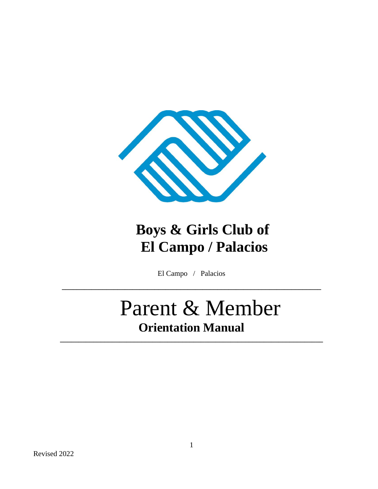

## **Boys & Girls Club of El Campo / Palacios**

El Campo / Palacios

**\_\_\_\_\_\_\_\_\_\_\_\_\_\_\_\_\_\_\_\_\_\_\_\_\_\_\_\_\_\_\_\_\_\_\_\_\_\_\_\_\_\_\_\_\_\_\_\_\_\_\_\_\_\_\_\_\_\_\_\_\_\_\_\_\_\_\_\_\_\_**

**\_\_\_\_\_\_\_\_\_\_\_\_\_\_\_\_\_\_\_\_\_\_\_\_\_\_\_\_\_\_\_\_\_\_\_\_\_\_\_\_\_\_\_\_\_\_\_\_\_\_\_\_\_\_\_\_\_\_\_\_\_\_\_\_\_\_\_\_\_\_\_**

# Parent & Member **Orientation Manual**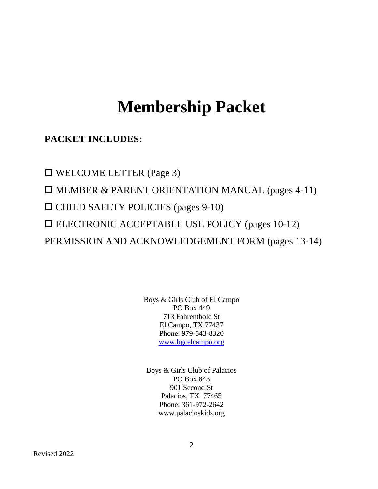## **Membership Packet**

## **PACKET INCLUDES:**

□ WELCOME LETTER (Page 3) MEMBER & PARENT ORIENTATION MANUAL (pages 4-11)  $\Box$  CHILD SAFETY POLICIES (pages 9-10) ELECTRONIC ACCEPTABLE USE POLICY (pages 10-12) PERMISSION AND ACKNOWLEDGEMENT FORM (pages 13-14)

> Boys & Girls Club of El Campo PO Box 449 713 Fahrenthold St El Campo, TX 77437 Phone: 979-543-8320 [www.bgcelcampo.org](http://www.bgcelcampo.org/)

Boys & Girls Club of Palacios PO Box 843 901 Second St Palacios, TX 77465 Phone: 361-972-2642 www.palacioskids.org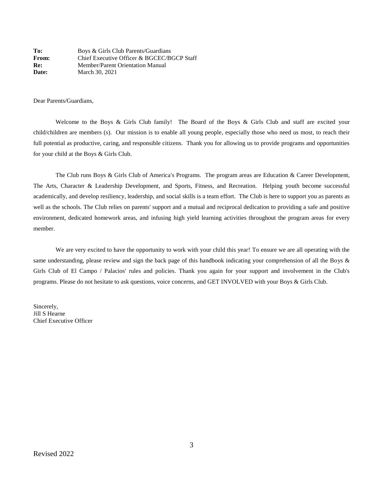**To:** Boys & Girls Club Parents/Guardians From: Chief Executive Officer & BGCEC/BGCP Staff **Re:** Member/Parent Orientation Manual **Date:** March 30, 2021

Dear Parents/Guardians,

Welcome to the Boys & Girls Club family! The Board of the Boys & Girls Club and staff are excited your child/children are members (s). Our mission is to enable all young people, especially those who need us most, to reach their full potential as productive, caring, and responsible citizens. Thank you for allowing us to provide programs and opportunities for your child at the Boys & Girls Club.

The Club runs Boys & Girls Club of America's Programs. The program areas are Education & Career Development, The Arts, Character & Leadership Development, and Sports, Fitness, and Recreation. Helping youth become successful academically, and develop resiliency, leadership, and social skills is a team effort. The Club is here to support you as parents as well as the schools. The Club relies on parents' support and a mutual and reciprocal dedication to providing a safe and positive environment, dedicated homework areas, and infusing high yield learning activities throughout the program areas for every member.

We are very excited to have the opportunity to work with your child this year! To ensure we are all operating with the same understanding, please review and sign the back page of this handbook indicating your comprehension of all the Boys & Girls Club of El Campo / Palacios' rules and policies. Thank you again for your support and involvement in the Club's programs. Please do not hesitate to ask questions, voice concerns, and GET INVOLVED with your Boys & Girls Club.

Sincerely, Jill S Hearne Chief Executive Officer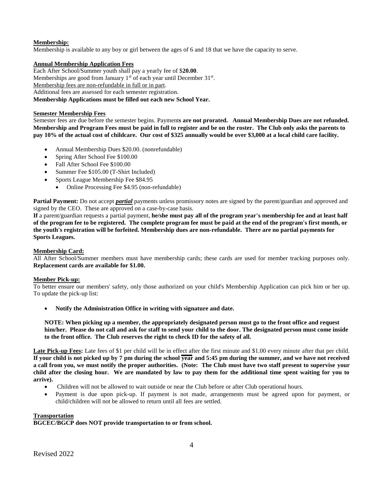## **Membership:**

Membership is available to any boy or girl between the ages of 6 and 18 that we have the capacity to serve.

## **Annual Membership Application Fees**

Each After School/Summer youth shall pay a yearly fee of \$**20.00**. Memberships are good from January  $1<sup>st</sup>$  of each year until December  $31<sup>st</sup>$ . Membership fees are non-refundable in full or in part.

Additional fees are assessed for each semester registration.

## **Membership Applications must be filled out each new School Year.**

## **Semester Membership Fees**

Semester fees are due before the semester begins. Payment**s are not prorated. Annual Membership Dues are not refunded. Membership and Program Fees must be paid in full to register and be on the roster. The Club only asks the parents to pay 10% of the actual cost of childcare. Our cost of \$325 annually would be over \$3,000 at a local child care facility.** 

- Annual Membership Dues \$20.00. (nonrefundable)
- Spring After School Fee \$100.00
- Fall After School Fee \$100.00
- Summer Fee \$105.00 (T-Shirt Included)
- Sports League Membership Fee \$84.95
	- Online Processing Fee \$4.95 (non-refundable)

**Partial Payment:** Do not accept *partial* payments unless promissory notes are signed by the parent/guardian and approved and signed by the CEO. These are approved on a case-by-case basis.

**If** a parent/guardian requests a partial payment, **he/she must pay all of the program year's membership fee and at least half of the program fee to be registered. The complete program fee must be paid at the end of the program's first month, or the youth's registration will be forfeited. Membership dues are non-refundable. There are no partial payments for Sports Leagues.** 

## **Membership Card:**

All After School/Summer members must have membership cards; these cards are used for member tracking purposes only. **Replacement cards are available for \$1.00.** 

## **Member Pick-up:**

To better ensure our members' safety, only those authorized on your child's Membership Application can pick him or her up. To update the pick-up list:

**Notify the Administration Office in writing with signature and date.**

**NOTE: When picking up a member, the appropriately designated person must go to the front office and request him/her. Please do not call and ask for staff to send your child to the door. The designated person must come inside to the front office. The Club reserves the right to check ID for the safety of all.** 

Late Pick-up Fees: Late fees of \$1 per child will be in effect after the first minute and \$1.00 every minute after that per child. **If your child is not picked up by 7 pm during the school year and 5:45 pm during the summer, and we have not received a call from you, we must notify the proper authorities. (Note: The Club must have two staff present to supervise your child after the closing hour. We are mandated by law to pay them for the additional time spent waiting for you to arrive).** 

- Children will not be allowed to wait outside or near the Club before or after Club operational hours.
- Payment is due upon pick-up. If payment is not made, arrangements must be agreed upon for payment, or child/children will not be allowed to return until all fees are settled.

## **Transportation**

**BGCEC/BGCP does NOT provide transportation to or from school.**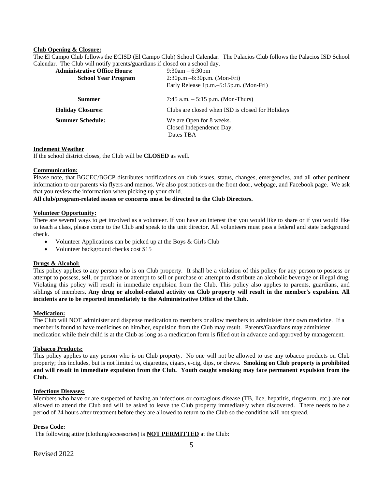## **Club Opening & Closure:**

The El Campo Club follows the ECISD (El Campo Club) School Calendar. The Palacios Club follows the Palacios ISD School Calendar. The Club will notify parents/guardians if closed on a school day.

| <b>Administrative Office Hours:</b><br><b>School Year Program</b> | $9:30$ am $-6:30$ pm<br>$2:30p.m - 6:30p.m.$ (Mon-Fri)<br>Early Release 1p.m.–5:15p.m. (Mon-Fri) |
|-------------------------------------------------------------------|--------------------------------------------------------------------------------------------------|
| Summer                                                            | 7:45 a.m. $-5:15$ p.m. (Mon-Thurs)                                                               |
| <b>Holiday Closures:</b>                                          | Clubs are closed when ISD is closed for Holidays                                                 |
| <b>Summer Schedule:</b>                                           | We are Open for 8 weeks.<br>Closed Independence Day.<br>Dates TBA                                |

## **Inclement Weather**

If the school district closes, the Club will be **CLOSED** as well.

## **Communication:**

Please note, that BGCEC/BGCP distributes notifications on club issues, status, changes, emergencies, and all other pertinent information to our parents via flyers and memos. We also post notices on the front door, webpage, and Facebook page. We ask that you review the information when picking up your child.

## **All club/program-related issues or concerns must be directed to the Club Directors.**

#### **Volunteer Opportunity:**

There are several ways to get involved as a volunteer. If you have an interest that you would like to share or if you would like to teach a class, please come to the Club and speak to the unit director. All volunteers must pass a federal and state background check.

- Volunteer Applications can be picked up at the Boys & Girls Club
- Volunteer background checks cost \$15

## **Drugs & Alcohol:**

This policy applies to any person who is on Club property. It shall be a violation of this policy for any person to possess or attempt to possess, sell, or purchase or attempt to sell or purchase or attempt to distribute an alcoholic beverage or illegal drug. Violating this policy will result in immediate expulsion from the Club. This policy also applies to parents, guardians, and siblings of members. **Any drug or alcohol-related activity on Club property will result in the member's expulsion. All incidents are to be reported immediately to the Administrative Office of the Club.** 

## **Medication:**

The Club will NOT administer and dispense medication to members or allow members to administer their own medicine. If a member is found to have medicines on him/her, expulsion from the Club may result. Parents/Guardians may administer medication while their child is at the Club as long as a medication form is filled out in advance and approved by management.

## **Tobacco Products:**

This policy applies to any person who is on Club property. No one will not be allowed to use any tobacco products on Club property; this includes, but is not limited to, cigarettes, cigars, e-cig, dips, or chews. **Smoking on Club property is prohibited and will result in immediate expulsion from the Club. Youth caught smoking may face permanent expulsion from the Club.** 

## **Infectious Diseases:**

Members who have or are suspected of having an infectious or contagious disease (TB, lice, hepatitis, ringworm, etc.) are not allowed to attend the Club and will be asked to leave the Club property immediately when discovered. There needs to be a period of 24 hours after treatment before they are allowed to return to the Club so the condition will not spread.

## **Dress Code:**

The following attire (clothing/accessories) is **NOT PERMITTED** at the Club: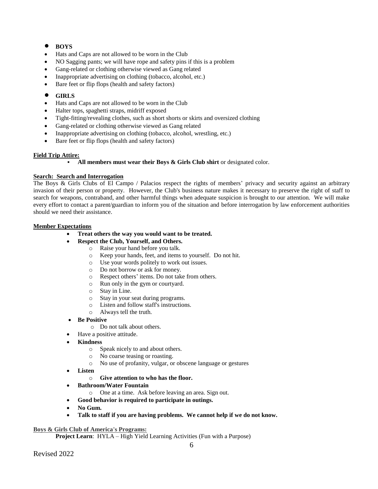## **• BOYS**

- Hats and Caps are not allowed to be worn in the Club
- NO Sagging pants; we will have rope and safety pins if this is a problem
- Gang-related or clothing otherwise viewed as Gang related
- Inappropriate advertising on clothing (tobacco, alcohol, etc.)
- Bare feet or flip flops (health and safety factors)

## **GIRLS**

- Hats and Caps are not allowed to be worn in the Club
- Halter tops, spaghetti straps, midriff exposed
- Tight-fitting/revealing clothes, such as short shorts or skirts and oversized clothing
- Gang-related or clothing otherwise viewed as Gang related
- Inappropriate advertising on clothing (tobacco, alcohol, wrestling, etc.)
- Bare feet or flip flops (health and safety factors)

## **Field Trip Attire:**

## ▪ **All members must wear their Boys & Girls Club shirt** or designated color.

## **Search: Search and Interrogation**

The Boys & Girls Clubs of El Campo / Palacios respect the rights of members' privacy and security against an arbitrary invasion of their person or property. However, the Club's business nature makes it necessary to preserve the right of staff to search for weapons, contraband, and other harmful things when adequate suspicion is brought to our attention. We will make every effort to contact a parent/guardian to inform you of the situation and before interrogation by law enforcement authorities should we need their assistance.

## **Member Expectations**

- **Treat others the way you would want to be treated.**
	- **Respect the Club, Yourself, and Others.**
		- o Raise your hand before you talk.
		- o Keep your hands, feet, and items to yourself. Do not hit.
		- o Use your words politely to work out issues.
		- o Do not borrow or ask for money.
		- o Respect others' items. Do not take from others.
		- o Run only in the gym or courtyard.
		- o Stay in Line.
		- o Stay in your seat during programs.
		- o Listen and follow staff's instructions.
		- o Always tell the truth.
- **Be Positive**
	- o Do not talk about others.
	- Have a positive attitude.
- **Kindness**
	- o Speak nicely to and about others.
	- o No coarse teasing or roasting.
	- o No use of profanity, vulgar, or obscene language or gestures
- **Listen**
	- o **Give attention to who has the floor.**
- **Bathroom/Water Fountain**
	- o One at a time. Ask before leaving an area. Sign out.
- **Good behavior is required to participate in outings.**
- **No Gum.**
- **Talk to staff if you are having problems. We cannot help if we do not know.**

## **Boys & Girls Club of America's Programs:**

**Project Learn:** HYLA – High Yield Learning Activities (Fun with a Purpose)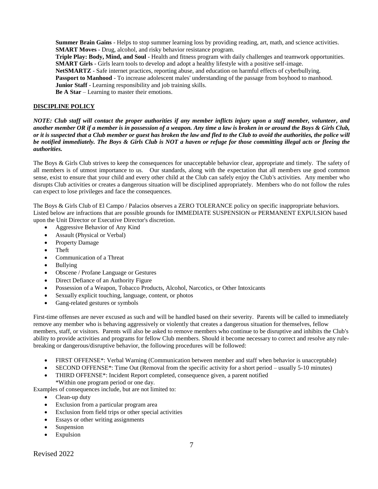**Summer Brain Gains** - Helps to stop summer learning loss by providing reading, art, math, and science activities. **SMART Moves** - Drug, alcohol, and risky behavior resistance program.

**Triple Play: Body, Mind, and Soul** - Health and fitness program with daily challenges and teamwork opportunities. **SMART Girls** - Girls learn tools to develop and adopt a healthy lifestyle with a positive self-image.

**NetSMARTZ** - Safe internet practices, reporting abuse, and education on harmful effects of cyberbullying.

**Passport to Manhood** - To increase adolescent males' understanding of the passage from boyhood to manhood.

**Junior Staff** - Learning responsibility and job training skills.

**Be A Star** – Learning to master their emotions.

## **DISCIPLINE POLICY**

*NOTE: Club staff will contact the proper authorities if any member inflicts injury upon a staff member, volunteer, and another member OR if a member is in possession of a weapon. Any time a law is broken in or around the Boys & Girls Club, or it is suspected that a Club member or guest has broken the law and fled to the Club to avoid the authorities, the police will be notified immediately. The Boys & Girls Club is NOT a haven or refuge for those committing illegal acts or fleeing the authorities.* 

The Boys & Girls Club strives to keep the consequences for unacceptable behavior clear, appropriate and timely. The safety of all members is of utmost importance to us. Our standards, along with the expectation that all members use good common sense, exist to ensure that your child and every other child at the Club can safely enjoy the Club's activities. Any member who disrupts Club activities or creates a dangerous situation will be disciplined appropriately. Members who do not follow the rules can expect to lose privileges and face the consequences.

The Boys & Girls Club of El Campo / Palacios observes a ZERO TOLERANCE policy on specific inappropriate behaviors. Listed below are infractions that are possible grounds for IMMEDIATE SUSPENSION or PERMANENT EXPULSION based upon the Unit Director or Executive Director's discretion.

- Aggressive Behavior of Any Kind
- Assault (Physical or Verbal)
- Property Damage
- Theft
- Communication of a Threat
- Bullying
- Obscene / Profane Language or Gestures
- Direct Defiance of an Authority Figure
- Possession of a Weapon, Tobacco Products, Alcohol, Narcotics, or Other Intoxicants
- Sexually explicit touching, language, content, or photos
- Gang-related gestures or symbols

First-time offenses are never excused as such and will be handled based on their severity. Parents will be called to immediately remove any member who is behaving aggressively or violently that creates a dangerous situation for themselves, fellow members, staff, or visitors. Parents will also be asked to remove members who continue to be disruptive and inhibits the Club's ability to provide activities and programs for fellow Club members. Should it become necessary to correct and resolve any rulebreaking or dangerous/disruptive behavior, the following procedures will be followed:

- FIRST OFFENSE\*: Verbal Warning (Communication between member and staff when behavior is unacceptable)
- SECOND OFFENSE\*: Time Out (Removal from the specific activity for a short period usually 5-10 minutes)
- THIRD OFFENSE\*: Incident Report completed, consequence given, a parent notified \*Within one program period or one day.

Examples of consequences include, but are not limited to:

- Clean-up duty
- Exclusion from a particular program area
- Exclusion from field trips or other special activities
- Essays or other writing assignments
- Suspension
- Expulsion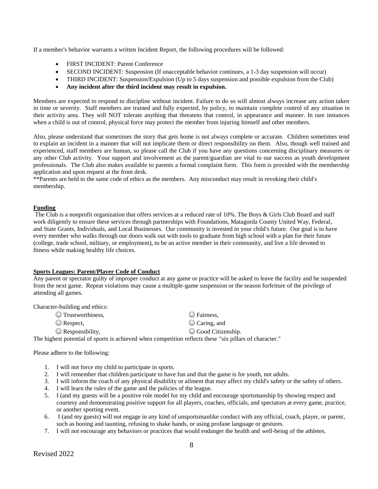If a member's behavior warrants a written Incident Report, the following procedures will be followed:

- FIRST INCIDENT: Parent Conference
- SECOND INCIDENT: Suspension (If unacceptable behavior continues, a 1-3 day suspension will occur)
- THIRD INCIDENT: Suspension/Expulsion (Up to 5 days suspension and possible expulsion from the Club)
- **Any incident after the third incident may result in expulsion.**

Members are expected to respond to discipline without incident. Failure to do so will almost always increase any action taken in time or severity. Staff members are trained and fully expected, by policy, to maintain complete control of any situation in their activity area. They will NOT tolerate anything that threatens that control, in appearance and manner. In rare instances when a child is out of control, physical force may protect the member from injuring himself and other members.

Also, please understand that sometimes the story that gets home is not always complete or accurate. Children sometimes tend to explain an incident in a manner that will not implicate them or direct responsibility on them. Also, though well trained and experienced, staff members are human, so please call the Club if you have any questions concerning disciplinary measures or any other Club activity. Your support and involvement as the parent/guardian are vital to our success as youth development professionals. The Club also makes available to parents a formal complaint form. This form is provided with the membership application and upon request at the front desk.

\*\*Parents are held to the same code of ethics as the members. Any misconduct may result in revoking their child's membership.

## **Funding**

The Club is a nonprofit organization that offers services at a reduced rate of 10%. The Boys & Girls Club Board and staff work diligently to ensure these services through partnerships with Foundations, Matagorda County United Way, Federal, and State Grants, Individuals, and Local Businesses. Our community is invested in your child's future. Our goal is to have every member who walks through our doors walk out with tools to graduate from high school with a plan for their future (college, trade school, military, or employment), to be an active member in their community, and live a life devoted to fitness while making healthy life choices.

## **Sports Leagues: Parent/Player Code of Conduct**

Any parent or spectator guilty of improper conduct at any game or practice will be asked to leave the facility and be suspended from the next game. Repeat violations may cause a multiple-game suspension or the season forfeiture of the privilege of attending all games.

Character-building and ethics:

 $\odot$  Trustworthiness,  $\odot$  Fairness, ☺ Respect, ☺ Caring, and

 $\odot$  Responsibility,  $\odot$  Good Citizenship.

The highest potential of sports is achieved when competition reflects these "six pillars of character."

Please adhere to the following:

- 1. I will not force my child to participate in sports.
- 2. I will remember that children participate to have fun and that the game is for youth, not adults.
- 3. I will inform the coach of any physical disability or ailment that may affect my child's safety or the safety of others.
- 4. I will learn the rules of the game and the policies of the league.
- 5. I (and my guests will be a positive role model for my child and encourage sportsmanship by showing respect and courtesy and demonstrating positive support for all players, coaches, officials, and spectators at every game, practice, or another sporting event.
- 6. I (and my guests) will not engage in any kind of unsportsmanlike conduct with any official, coach, player, or parent, such as booing and taunting, refusing to shake hands, or using profane language or gestures.
- 7. I will not encourage any behaviors or practices that would endanger the health and well-being of the athletes.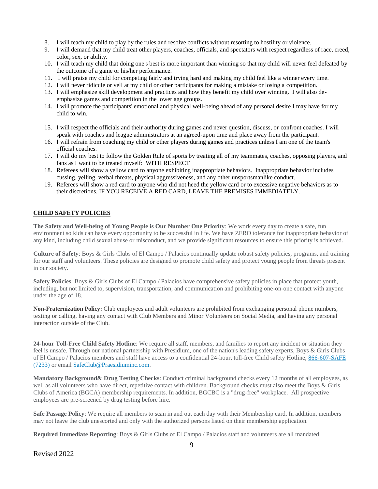- 8. I will teach my child to play by the rules and resolve conflicts without resorting to hostility or violence.
- 9. I will demand that my child treat other players, coaches, officials, and spectators with respect regardless of race, creed, color, sex, or ability.
- 10. I will teach my child that doing one's best is more important than winning so that my child will never feel defeated by the outcome of a game or his/her performance.
- 11. I will praise my child for competing fairly and trying hard and making my child feel like a winner every time.
- 12. I will never ridicule or yell at my child or other participants for making a mistake or losing a competition.
- 13. I will emphasize skill development and practices and how they benefit my child over winning. I will also deemphasize games and competition in the lower age groups.
- 14. I will promote the participants' emotional and physical well-being ahead of any personal desire I may have for my child to win.
- 15. I will respect the officials and their authority during games and never question, discuss, or confront coaches. I will speak with coaches and league administrators at an agreed-upon time and place away from the participant.
- 16. I will refrain from coaching my child or other players during games and practices unless I am one of the team's official coaches.
- 17. I will do my best to follow the Golden Rule of sports by treating all of my teammates, coaches, opposing players, and fans as I want to be treated myself: WITH RESPECT
- 18. Referees will show a yellow card to anyone exhibiting inappropriate behaviors. Inappropriate behavior includes cussing, yelling, verbal threats, physical aggressiveness, and any other unsportsmanlike conduct.
- 19. Referees will show a red card to anyone who did not heed the yellow card or to excessive negative behaviors as to their discretions. IF YOU RECEIVE A RED CARD, LEAVE THE PREMISES IMMEDIATELY.

## **CHILD SAFETY POLICIES**

**The Safety and Well-being of Young People is Our Number One Priority**: We work every day to create a safe, fun environment so kids can have every opportunity to be successful in life. We have ZERO tolerance for inappropriate behavior of any kind, including child sexual abuse or misconduct, and we provide significant resources to ensure this priority is achieved.

**Culture of Safety**: Boys & Girls Clubs of El Campo / Palacios continually update robust safety policies, programs, and training for our staff and volunteers. These policies are designed to promote child safety and protect young people from threats present in our society.

**Safety Policies**: Boys & Girls Clubs of El Campo / Palacios have comprehensive safety policies in place that protect youth, including, but not limited to, supervision, transportation, and communication and prohibiting one-on-one contact with anyone under the age of 18.

**Non-Fraternization Policy:** Club employees and adult volunteers are prohibited from exchanging personal phone numbers, texting or calling, having any contact with Club Members and Minor Volunteers on Social Media, and having any personal interaction outside of the Club.

**24-hour Toll-Free Child Safety Hotline**: We require all staff, members, and families to report any incident or situation they feel is unsafe. Through our national partnership with Presidium, one of the nation's leading safety experts, Boys & Girls Clubs of El Campo / Palacios members and staff have access to a confidential 24-hour, toll-free Child safety Hotline, [866-607-SAFE](tel:866-607-7233)  [\(7233\)](tel:866-607-7233) or email [SafeClub@Praesidiuminc.com.](mailto:SafeClub@Praesidiuminc.com)

**Mandatory Background& Drug Testing Checks**: Conduct criminal background checks every 12 months of all employees, as well as all volunteers who have direct, repetitive contact with children. Background checks must also meet the Boys & Girls Clubs of America (BGCA) membership requirements. In addition, BGCBC is a "drug-free" workplace. All prospective employees are pre-screened by drug testing before hire.

**Safe Passage Policy**: We require all members to scan in and out each day with their Membership card. In addition, members may not leave the club unescorted and only with the authorized persons listed on their membership application.

**Required Immediate Reporting**: Boys & Girls Clubs of El Campo / Palacios staff and volunteers are all mandated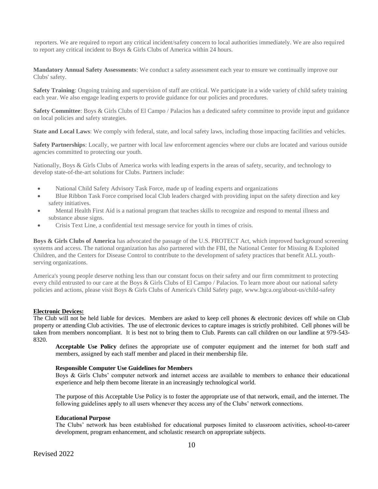reporters. We are required to report any critical incident/safety concern to local authorities immediately. We are also required to report any critical incident to Boys & Girls Clubs of America within 24 hours.

**Mandatory Annual Safety Assessments**: We conduct a safety assessment each year to ensure we continually improve our Clubs' safety.

**Safety Training**: Ongoing training and supervision of staff are critical. We participate in a wide variety of child safety training each year. We also engage leading experts to provide guidance for our policies and procedures.

**Safety Committee**: Boys & Girls Clubs of El Campo / Palacios has a dedicated safety committee to provide input and guidance on local policies and safety strategies.

**State and Local Laws**: We comply with federal, state, and local safety laws, including those impacting facilities and vehicles.

**Safety Partnerships**: Locally, we partner with local law enforcement agencies where our clubs are located and various outside agencies committed to protecting our youth.

Nationally, Boys & Girls Clubs of America works with leading experts in the areas of safety, security, and technology to develop state-of-the-art solutions for Clubs. Partners include:

- National Child Safety Advisory Task Force, made up of leading experts and organizations
- Blue Ribbon Task Force comprised local Club leaders charged with providing input on the safety direction and key safety initiatives.
- Mental Health First Aid is a national program that teaches skills to recognize and respond to mental illness and substance abuse signs.
- Crisis Text Line, a confidential text message service for youth in times of crisis.

**Boys & Girls Clubs of America** has advocated the passage of the U.S. PROTECT Act, which improved background screening systems and access. The national organization has also partnered with the FBI, the National Center for Missing & Exploited Children, and the Centers for Disease Control to contribute to the development of safety practices that benefit ALL youthserving organizations.

America's young people deserve nothing less than our constant focus on their safety and our firm commitment to protecting every child entrusted to our care at the Boys & Girls Clubs of El Campo / Palacios. To learn more about our national safety policies and actions, please visit Boys & Girls Clubs of America's Child Safety page, www.bgca.org/about-us/child-safety

## **Electronic Devices:**

The Club will not be held liable for devices. Members are asked to keep cell phones & electronic devices off while on Club property or attending Club activities. The use of electronic devices to capture images is strictly prohibited. Cell phones will be taken from members noncompliant. It is best not to bring them to Club. Parents can call children on our landline at 979-543- 8320.

**Acceptable Use Policy** defines the appropriate use of computer equipment and the internet for both staff and members, assigned by each staff member and placed in their membership file.

#### **Responsible Computer Use Guidelines for Members**

Boys & Girls Clubs' computer network and internet access are available to members to enhance their educational experience and help them become literate in an increasingly technological world.

The purpose of this Acceptable Use Policy is to foster the appropriate use of that network, email, and the internet. The following guidelines apply to all users whenever they access any of the Clubs' network connections.

#### **Educational Purpose**

The Clubs' network has been established for educational purposes limited to classroom activities, school-to-career development, program enhancement, and scholastic research on appropriate subjects.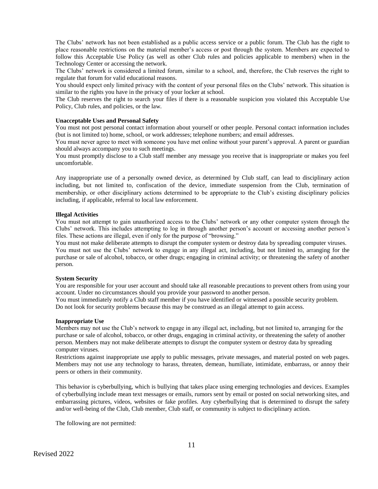The Clubs' network has not been established as a public access service or a public forum. The Club has the right to place reasonable restrictions on the material member's access or post through the system. Members are expected to follow this Acceptable Use Policy (as well as other Club rules and policies applicable to members) when in the Technology Center or accessing the network.

The Clubs' network is considered a limited forum, similar to a school, and, therefore, the Club reserves the right to regulate that forum for valid educational reasons.

You should expect only limited privacy with the content of your personal files on the Clubs' network. This situation is similar to the rights you have in the privacy of your locker at school.

The Club reserves the right to search your files if there is a reasonable suspicion you violated this Acceptable Use Policy, Club rules, and policies, or the law.

#### **Unacceptable Uses and Personal Safety**

You must not post personal contact information about yourself or other people. Personal contact information includes (but is not limited to) home, school, or work addresses; telephone numbers; and email addresses.

You must never agree to meet with someone you have met online without your parent's approval. A parent or guardian should always accompany you to such meetings.

You must promptly disclose to a Club staff member any message you receive that is inappropriate or makes you feel uncomfortable.

Any inappropriate use of a personally owned device, as determined by Club staff, can lead to disciplinary action including, but not limited to, confiscation of the device, immediate suspension from the Club, termination of membership, or other disciplinary actions determined to be appropriate to the Club's existing disciplinary policies including, if applicable, referral to local law enforcement.

#### **Illegal Activities**

You must not attempt to gain unauthorized access to the Clubs' network or any other computer system through the Clubs' network. This includes attempting to log in through another person's account or accessing another person's files. These actions are illegal, even if only for the purpose of "browsing."

You must not make deliberate attempts to disrupt the computer system or destroy data by spreading computer viruses. You must not use the Clubs' network to engage in any illegal act, including, but not limited to, arranging for the purchase or sale of alcohol, tobacco, or other drugs; engaging in criminal activity; or threatening the safety of another person.

#### **System Security**

You are responsible for your user account and should take all reasonable precautions to prevent others from using your account. Under no circumstances should you provide your password to another person.

You must immediately notify a Club staff member if you have identified or witnessed a possible security problem. Do not look for security problems because this may be construed as an illegal attempt to gain access.

#### **Inappropriate Use**

Members may not use the Club's network to engage in any illegal act, including, but not limited to, arranging for the purchase or sale of alcohol, tobacco, or other drugs, engaging in criminal activity, or threatening the safety of another person. Members may not make deliberate attempts to disrupt the computer system or destroy data by spreading computer viruses.

Restrictions against inappropriate use apply to public messages, private messages, and material posted on web pages. Members may not use any technology to harass, threaten, demean, humiliate, intimidate, embarrass, or annoy their peers or others in their community.

This behavior is cyberbullying, which is bullying that takes place using emerging technologies and devices. Examples of cyberbullying include mean text messages or emails, rumors sent by email or posted on social networking sites, and embarrassing pictures, videos, websites or fake profiles. Any cyberbullying that is determined to disrupt the safety and/or well-being of the Club, Club member, Club staff, or community is subject to disciplinary action.

The following are not permitted: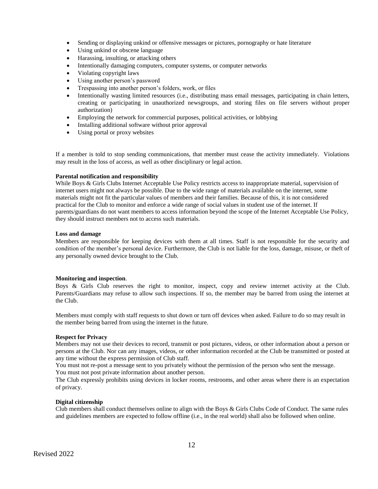- Sending or displaying unkind or offensive messages or pictures, pornography or hate literature
- Using unkind or obscene language
- Harassing, insulting, or attacking others
- Intentionally damaging computers, computer systems, or computer networks
- Violating copyright laws
- Using another person's password
- Trespassing into another person's folders, work, or files
- Intentionally wasting limited resources (i.e., distributing mass email messages, participating in chain letters, creating or participating in unauthorized newsgroups, and storing files on file servers without proper authorization)
- Employing the network for commercial purposes, political activities, or lobbying
- Installing additional software without prior approval
- Using portal or proxy websites

If a member is told to stop sending communications, that member must cease the activity immediately. Violations may result in the loss of access, as well as other disciplinary or legal action.

## **Parental notification and responsibility**

While Boys & Girls Clubs Internet Acceptable Use Policy restricts access to inappropriate material, supervision of internet users might not always be possible. Due to the wide range of materials available on the internet, some materials might not fit the particular values of members and their families. Because of this, it is not considered practical for the Club to monitor and enforce a wide range of social values in student use of the internet. If parents/guardians do not want members to access information beyond the scope of the Internet Acceptable Use Policy, they should instruct members not to access such materials.

## **Loss and damage**

Members are responsible for keeping devices with them at all times. Staff is not responsible for the security and condition of the member's personal device. Furthermore, the Club is not liable for the loss, damage, misuse, or theft of any personally owned device brought to the Club.

## **Monitoring and inspection**.

Boys & Girls Club reserves the right to monitor, inspect, copy and review internet activity at the Club. Parents/Guardians may refuse to allow such inspections. If so, the member may be barred from using the internet at the Club.

Members must comply with staff requests to shut down or turn off devices when asked. Failure to do so may result in the member being barred from using the internet in the future.

## **Respect for Privacy**

Members may not use their devices to record, transmit or post pictures, videos, or other information about a person or persons at the Club. Nor can any images, videos, or other information recorded at the Club be transmitted or posted at any time without the express permission of Club staff.

You must not re-post a message sent to you privately without the permission of the person who sent the message. You must not post private information about another person.

The Club expressly prohibits using devices in locker rooms, restrooms, and other areas where there is an expectation of privacy.

## **Digital citizenship**

Club members shall conduct themselves online to align with the Boys & Girls Clubs Code of Conduct. The same rules and guidelines members are expected to follow offline (i.e., in the real world) shall also be followed when online.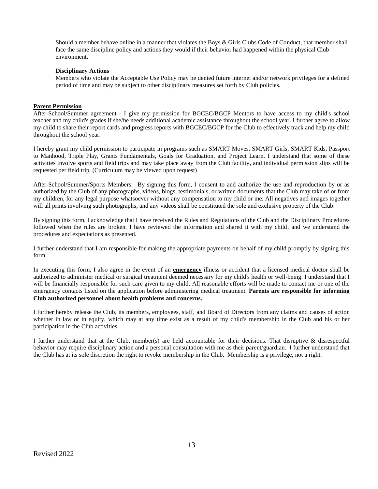Should a member behave online in a manner that violates the Boys & Girls Clubs Code of Conduct, that member shall face the same discipline policy and actions they would if their behavior had happened within the physical Club environment.

## **Disciplinary Actions**

Members who violate the Acceptable Use Policy may be denied future internet and/or network privileges for a defined period of time and may be subject to other disciplinary measures set forth by Club policies.

## **Parent Permission**

After-School/Summer agreement - I give my permission for BGCEC/BGCP Mentors to have access to my child's school teacher and my child's grades if she/he needs additional academic assistance throughout the school year. I further agree to allow my child to share their report cards and progress reports with BGCEC/BGCP for the Club to effectively track and help my child throughout the school year.

I hereby grant my child permission to participate in programs such as SMART Moves, SMART Girls, SMART Kids, Passport to Manhood, Triple Play, Grants Fundamentals, Goals for Graduation, and Project Learn. I understand that some of these activities involve sports and field trips and may take place away from the Club facility, and individual permission slips will be requested per field trip. (Curriculum may be viewed upon request)

After-School/Summer/Sports Members: By signing this form, I consent to and authorize the use and reproduction by or as authorized by the Club of any photographs, videos, blogs, testimonials, or written documents that the Club may take of or from my children, for any legal purpose whatsoever without any compensation to my child or me. All negatives and images together will all prints involving such photographs, and any videos shall be constituted the sole and exclusive property of the Club.

By signing this form, I acknowledge that I have received the Rules and Regulations of the Club and the Disciplinary Procedures followed when the rules are broken. I have reviewed the information and shared it with my child, and we understand the procedures and expectations as presented.

I further understand that I am responsible for making the appropriate payments on behalf of my child promptly by signing this form.

In executing this form, I also agree in the event of an **emergency** illness or accident that a licensed medical doctor shall be authorized to administer medical or surgical treatment deemed necessary for my child's health or well-being. I understand that I will be financially responsible for such care given to my child. All reasonable efforts will be made to contact me or one of the emergency contacts listed on the application before administering medical treatment. **Parents are responsible for informing Club authorized personnel about health problems and concerns.**

I further hereby release the Club, its members, employees, staff, and Board of Directors from any claims and causes of action whether in law or in equity, which may at any time exist as a result of my child's membership in the Club and his or her participation in the Club activities.

I further understand that at the Club, member(s) are held accountable for their decisions. That disruptive & disrespectful behavior may require disciplinary action and a personal consultation with me as their parent/guardian. I further understand that the Club has at its sole discretion the right to revoke membership in the Club. Membership is a privilege, not a right.